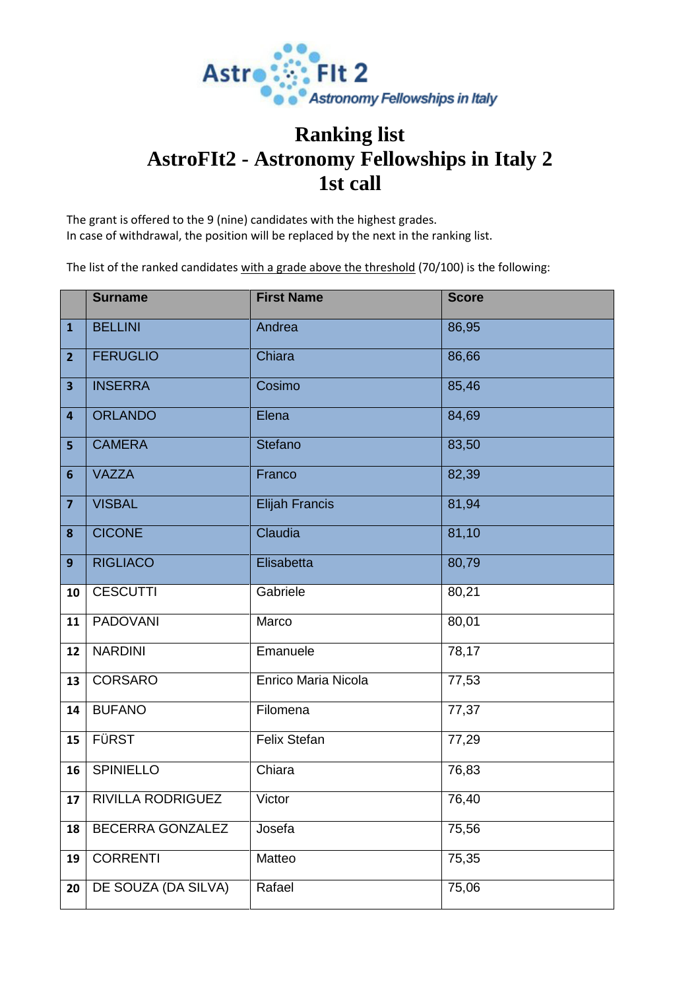

## **Ranking list AstroFIt2 - Astronomy Fellowships in Italy 2 1st call**

The grant is offered to the 9 (nine) candidates with the highest grades. In case of withdrawal, the position will be replaced by the next in the ranking list.

The list of the ranked candidates with a grade above the threshold (70/100) is the following:

|                         | <b>Surname</b>      | <b>First Name</b>     | <b>Score</b> |
|-------------------------|---------------------|-----------------------|--------------|
| $\mathbf{1}$            | <b>BELLINI</b>      | Andrea                | 86,95        |
| $\overline{2}$          | <b>FERUGLIO</b>     | Chiara                | 86,66        |
| $\overline{\mathbf{3}}$ | <b>INSERRA</b>      | Cosimo                | 85,46        |
| $\overline{4}$          | <b>ORLANDO</b>      | Elena                 | 84,69        |
| $\overline{\mathbf{5}}$ | <b>CAMERA</b>       | <b>Stefano</b>        | 83,50        |
| $6\phantom{1}6$         | <b>VAZZA</b>        | Franco                | 82,39        |
| $\overline{\mathbf{z}}$ | <b>VISBAL</b>       | <b>Elijah Francis</b> | 81,94        |
| $\boldsymbol{8}$        | <b>CICONE</b>       | Claudia               | 81,10        |
| 9                       | <b>RIGLIACO</b>     | Elisabetta            | 80,79        |
| 10                      | <b>CESCUTTI</b>     | Gabriele              | 80,21        |
| 11                      | <b>PADOVANI</b>     | Marco                 | 80,01        |
| 12                      | <b>NARDINI</b>      | Emanuele              | 78,17        |
| 13                      | CORSARO             | Enrico Maria Nicola   | 77,53        |
| 14                      | <b>BUFANO</b>       | Filomena              | 77,37        |
| 15                      | FÜRST               | Felix Stefan          | 77,29        |
| 16                      | <b>SPINIELLO</b>    | Chiara                | 76,83        |
| 17                      | RIVILLA RODRIGUEZ   | Victor                | 76,40        |
| 18                      | BECERRA GONZALEZ    | Josefa                | 75,56        |
| 19                      | <b>CORRENTI</b>     | Matteo                | 75,35        |
| 20                      | DE SOUZA (DA SILVA) | Rafael                | 75,06        |